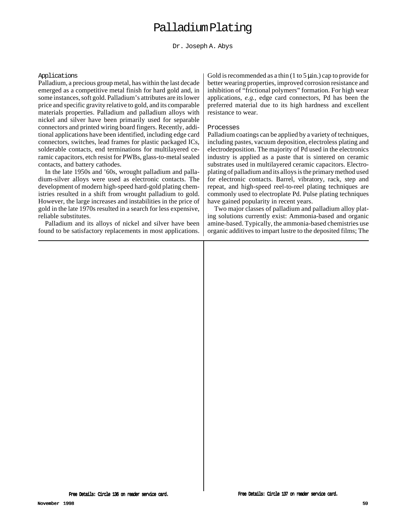# Palladium Plating

Dr. Joseph A. Abys

#### Applications

Palladium, a precious group metal, has within the last decade emerged as a competitive metal finish for hard gold and, in some instances, soft gold. Palladium's attributes are its lower price and specific gravity relative to gold, and its comparable materials properties. Palladium and palladium alloys with nickel and silver have been primarily used for separable connectors and printed wiring board fingers. Recently, additional applications have been identified, including edge card connectors, switches, lead frames for plastic packaged ICs, solderable contacts, end terminations for multilayered ceramic capacitors, etch resist for PWBs, glass-to-metal sealed contacts, and battery cathodes.

In the late 1950s and '60s, wrought palladium and palladium-silver alloys were used as electronic contacts. The development of modern high-speed hard-gold plating chemistries resulted in a shift from wrought palladium to gold. However, the large increases and instabilities in the price of gold in the late 1970s resulted in a search for less expensive, reliable substitutes.

Palladium and its alloys of nickel and silver have been found to be satisfactory replacements in most applications. Gold is recommended as a thin  $(1 to 5 \mu)$  cap to provide for better wearing properties, improved corrosion resistance and inhibition of "frictional polymers" formation. For high wear applications, *e.g.,* edge card connectors, Pd has been the preferred material due to its high hardness and excellent resistance to wear.

#### Processes

Palladium coatings can be applied by a variety of techniques, including pastes, vacuum deposition, electroless plating and electrodeposition. The majority of Pd used in the electronics industry is applied as a paste that is sintered on ceramic substrates used in multilayered ceramic capacitors. Electroplating of palladium and its alloys is the primary method used for electronic contacts. Barrel, vibratory, rack, step and repeat, and high-speed reel-to-reel plating techniques are commonly used to electroplate Pd. Pulse plating techniques have gained popularity in recent years.

Two major classes of palladium and palladium alloy plating solutions currently exist: Ammonia-based and organic amine-based. Typically, the ammonia-based chemistries use organic additives to impart lustre to the deposited films; The